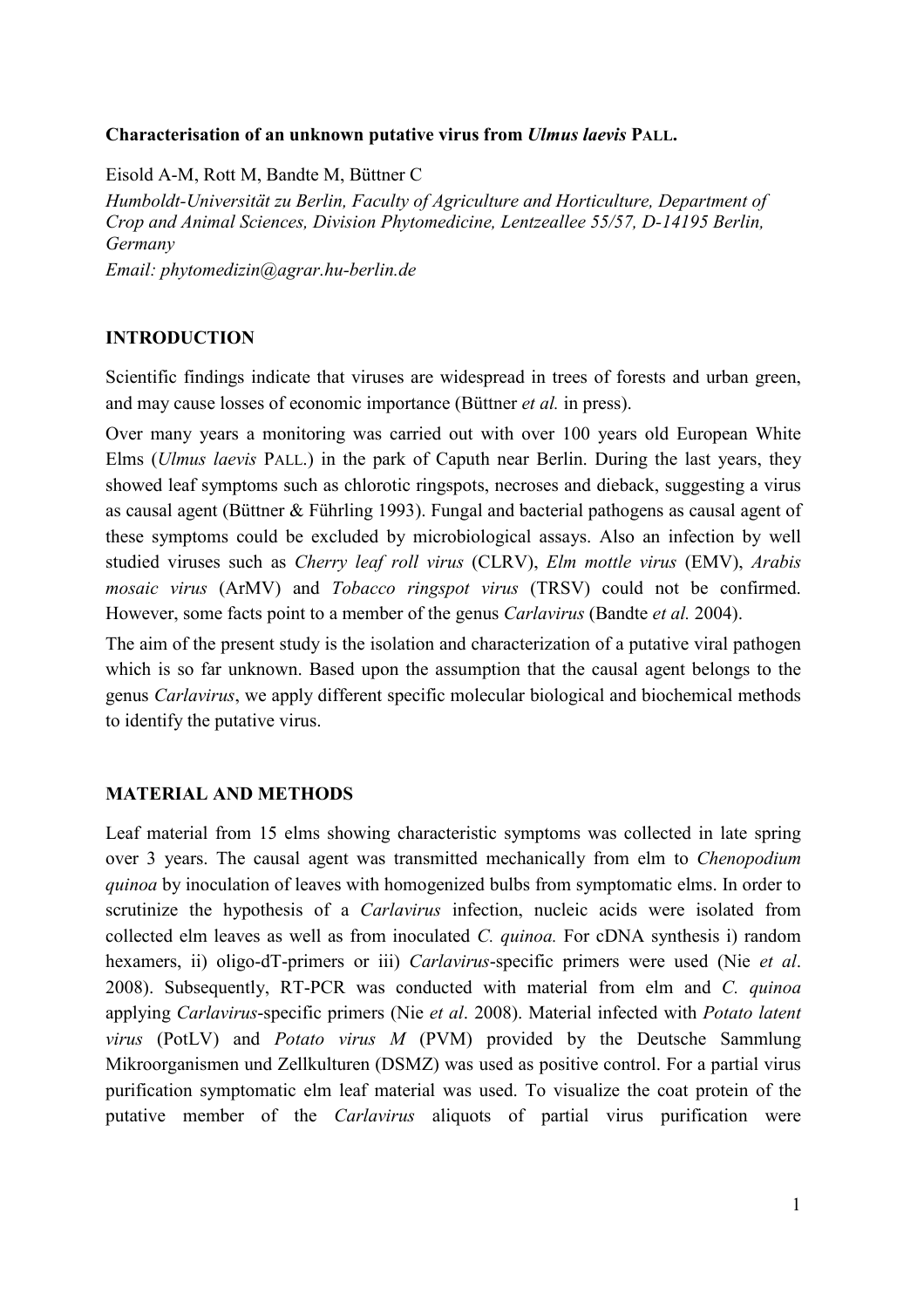# **Characterisation of an unknown putative virus from** *Ulmus laevis* **PALL.**

Eisold A-M, Rott M, Bandte M, Büttner C

*Humboldt-Universität zu Berlin, Faculty of Agriculture and Horticulture, Department of Crop and Animal Sciences, Division Phytomedicine, Lentzeallee 55/57, D-14195 Berlin, Germany* 

*Email: phytomedizin@agrar.hu-berlin.de* 

## **INTRODUCTION**

Scientific findings indicate that viruses are widespread in trees of forests and urban green, and may cause losses of economic importance (Büttner *et al.* in press).

Over many years a monitoring was carried out with over 100 years old European White Elms (*Ulmus laevis* PALL.) in the park of Caputh near Berlin. During the last years, they showed leaf symptoms such as chlorotic ringspots, necroses and dieback, suggesting a virus as causal agent (Büttner & Führling 1993). Fungal and bacterial pathogens as causal agent of these symptoms could be excluded by microbiological assays. Also an infection by well studied viruses such as *Cherry leaf roll virus* (CLRV), *Elm mottle virus* (EMV), *Arabis mosaic virus* (ArMV) and *Tobacco ringspot virus* (TRSV) could not be confirmed. However, some facts point to a member of the genus *Carlavirus* (Bandte *et al.* 2004).

The aim of the present study is the isolation and characterization of a putative viral pathogen which is so far unknown. Based upon the assumption that the causal agent belongs to the genus *Carlavirus*, we apply different specific molecular biological and biochemical methods to identify the putative virus.

### **MATERIAL AND METHODS**

Leaf material from 15 elms showing characteristic symptoms was collected in late spring over 3 years. The causal agent was transmitted mechanically from elm to *Chenopodium quinoa* by inoculation of leaves with homogenized bulbs from symptomatic elms. In order to scrutinize the hypothesis of a *Carlavirus* infection, nucleic acids were isolated from collected elm leaves as well as from inoculated *C. quinoa.* For cDNA synthesis i) random hexamers, ii) oligo-dT-primers or iii) *Carlavirus*-specific primers were used (Nie *et al*. 2008). Subsequently, RT-PCR was conducted with material from elm and *C. quinoa* applying *Carlavirus*-specific primers (Nie *et al*. 2008). Material infected with *Potato latent virus* (PotLV) and *Potato virus M* (PVM) provided by the Deutsche Sammlung Mikroorganismen und Zellkulturen (DSMZ) was used as positive control. For a partial virus purification symptomatic elm leaf material was used. To visualize the coat protein of the putative member of the *Carlavirus* aliquots of partial virus purification were